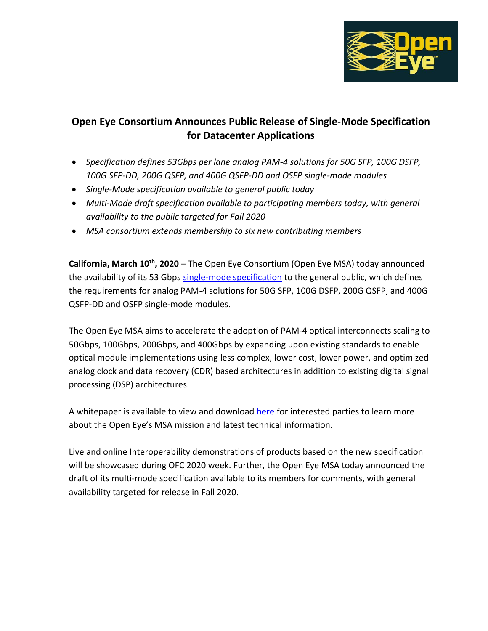

## **Open Eye Consortium Announces Public Release of Single-Mode Specification for Datacenter Applications**

- *Specification defines 53Gbps per lane analog PAM-4 solutions for 50G SFP, 100G DSFP, 100G SFP-DD, 200G QSFP, and 400G QSFP-DD and OSFP single-mode modules*
- *Single-Mode specification available to general public today*
- *Multi-Mode draft specification available to participating members today, with general availability to the public targeted for Fall 2020*
- *MSA consortium extends membership to six new contributing members*

**California, March 10th , 2020** – The Open Eye Consortium (Open Eye MSA) today announced the availability of its 53 Gbps [single-mode specification](https://www.openeye-msa.org/files/live/sites/msa/files/files/200G-FR-Open-Eye-rev%202p0-3-6-20-clean.pdf) to the general public, which defines the requirements for analog PAM-4 solutions for 50G SFP, 100G DSFP, 200G QSFP, and 400G QSFP-DD and OSFP single-mode modules.

The Open Eye MSA aims to accelerate the adoption of PAM-4 optical interconnects scaling to 50Gbps, 100Gbps, 200Gbps, and 400Gbps by expanding upon existing standards to enable optical module implementations using less complex, lower cost, lower power, and optimized analog clock and data recovery (CDR) based architectures in addition to existing digital signal processing (DSP) architectures.

A whitepaper is available to view and download [here](https://www.openeye-msa.org/files/live/sites/msa/files/files/Open%20Eye%20Whitepaper_Rev1p0%203-4-20.pdf) for interested parties to learn more about the Open Eye's MSA mission and latest technical information.

Live and online Interoperability demonstrations of products based on the new specification will be showcased during OFC 2020 week. Further, the Open Eye MSA today announced the draft of its multi-mode specification available to its members for comments, with general availability targeted for release in Fall 2020.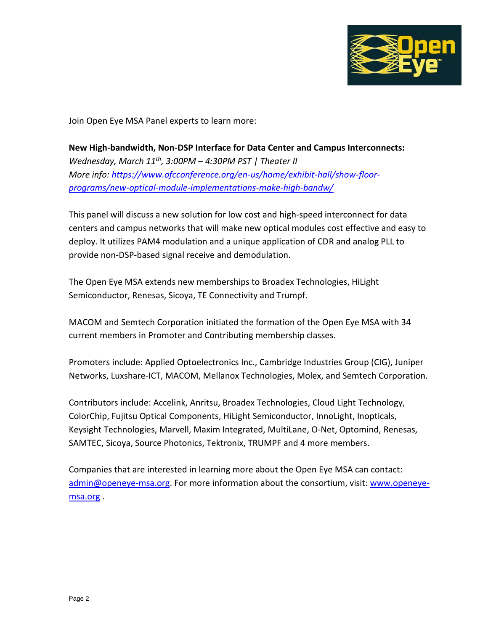

Join Open Eye MSA Panel experts to learn more:

**New High-bandwidth, Non-DSP Interface for Data Center and Campus Interconnects:**  *Wednesday, March 11th , 3:00PM – 4:30PM PST | Theater II More info: [https://www.ofcconference.org/en-us/home/exhibit-hall/show-floor](https://www.ofcconference.org/en-us/home/exhibit-hall/show-floor-programs/new-optical-module-implementations-make-high-bandw/)[programs/new-optical-module-implementations-make-high-bandw/](https://www.ofcconference.org/en-us/home/exhibit-hall/show-floor-programs/new-optical-module-implementations-make-high-bandw/)*

This panel will discuss a new solution for low cost and high-speed interconnect for data centers and campus networks that will make new optical modules cost effective and easy to deploy. It utilizes PAM4 modulation and a unique application of CDR and analog PLL to provide non-DSP-based signal receive and demodulation.

The Open Eye MSA extends new memberships to Broadex Technologies, HiLight Semiconductor, Renesas, Sicoya, TE Connectivity and Trumpf.

MACOM and Semtech Corporation initiated the formation of the Open Eye MSA with 34 current members in Promoter and Contributing membership classes.

Promoters include: Applied Optoelectronics Inc., Cambridge Industries Group (CIG), Juniper Networks, Luxshare-ICT, MACOM, Mellanox Technologies, Molex, and Semtech Corporation.

Contributors include: Accelink, Anritsu, Broadex Technologies, Cloud Light Technology, ColorChip, Fujitsu Optical Components, HiLight Semiconductor, InnoLight, Inopticals, Keysight Technologies, Marvell, Maxim Integrated, MultiLane, O-Net, Optomind, Renesas, SAMTEC, Sicoya, Source Photonics, Tektronix, TRUMPF and 4 more members.

Companies that are interested in learning more about the Open Eye MSA can contact: [admin@openeye-msa.org.](mailto:admin@openeye-msa.org) For more information about the consortium, visit: [www.openeye](http://www.openeye-msa.org/)[msa.org](http://www.openeye-msa.org/) .